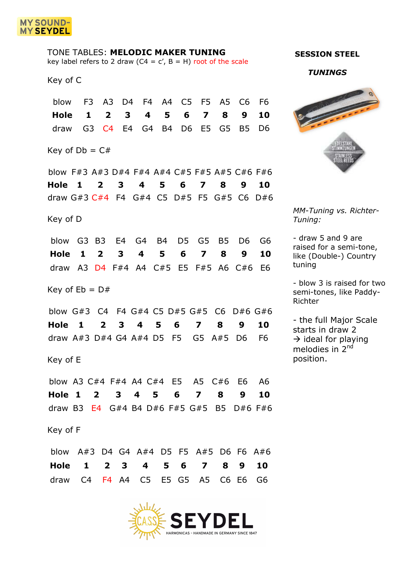

| TONE TABLES: MELODIC MAKER TUNING<br>key label refers to 2 draw ( $C4 = c'$ , $B = H$ ) root of the scale              |                                 |                               |                                       |                         |         |                           |                         |               |                                  |                            |
|------------------------------------------------------------------------------------------------------------------------|---------------------------------|-------------------------------|---------------------------------------|-------------------------|---------|---------------------------|-------------------------|---------------|----------------------------------|----------------------------|
| Key of C                                                                                                               |                                 |                               |                                       |                         |         |                           |                         |               |                                  |                            |
| blow<br>Hole<br>draw                                                                                                   | F <sub>3</sub><br>1             | A3<br>$\overline{\mathbf{2}}$ | D <sub>4</sub><br>3<br>G3 C4 E4 G4 B4 | <b>F4</b><br>4          | A4<br>5 | C5<br>6<br>D <sub>6</sub> | F5<br>7<br>E5           | A5<br>8<br>G5 | C <sub>6</sub><br>9<br><b>B5</b> | F6<br>10<br>D <sub>6</sub> |
| Key of $Db = C#$                                                                                                       |                                 |                               |                                       |                         |         |                           |                         |               |                                  |                            |
| blow F#3 A#3 D#4 F#4 A#4 C#5 F#5 A#5 C#6 F#6<br>Hole<br>$\blacksquare$<br>draw $G#3$ $C#4$ F4 $G#4$ C5 D#5 F5 $G#5$ C6 |                                 | $\mathbf{2}$                  | 3                                     | 4                       | 5       | 6                         | 7                       | 8             | 9                                | 10<br>D#6                  |
| Key of D<br>blow                                                                                                       | G3 B3 E4 G4 B4                  |                               |                                       |                         |         | D5                        | G5                      | B5            | D6                               | G6                         |
| Hole<br>draw                                                                                                           | 1<br>A3 D4 F#4 A4 C#5 E5 F#5 A6 | $\overline{\mathbf{2}}$       | 3                                     | 4                       | 5       | 6                         | $\overline{\mathbf{z}}$ | 8             | 9<br>C#6                         | 10<br>E <sub>6</sub>       |
| Key of $Eb = D#$                                                                                                       |                                 |                               |                                       |                         |         |                           |                         |               |                                  |                            |
| blow G#3 C4 F4 G#4 C5 D#5 G#5<br>Hole<br>draw $A#3$ D#4 G4 $A#4$ D5 F5                                                 | 1                               | $\mathbf{2}$                  | 3                                     | 4                       | 5       | 6                         | 7<br>G5 A#5             | C6<br>8       | D#6 G#6<br>9<br>D <sub>6</sub>   | 10<br>F <sub>6</sub>       |
| Key of E                                                                                                               |                                 |                               |                                       |                         |         |                           |                         |               |                                  |                            |
| blow A3 C#4 F#4 A4 C#4 E5 A5 C#6 E6<br>Hole 1<br>draw B3 $E4$ G#4 B4 D#6 F#5 G#5 B5                                    |                                 | $\mathbf{2}$                  | $3 \quad 4 \quad 5$                   |                         |         | 6                         | $\overline{\mathbf{z}}$ | 8             | 9<br>$D#6$ F#6                   | A6<br>10                   |
| Key of F                                                                                                               |                                 |                               |                                       |                         |         |                           |                         |               |                                  |                            |
| blow A#3 D4 G4 A#4 D5 F5 A#5 D6 F6 A#6<br>Hole                                                                         | $\mathbf{1}$                    | $\mathbf{2}$                  | 3                                     | $\overline{\mathbf{4}}$ | 5       | 6                         | $\overline{7}$          | 8             | 9                                | 10                         |

## HARMONICAS - HANDMADE IN GERMANY SINCE 1847

draw C4 F4 A4 C5 E5 G5 A5 C6 E6 G6

## **SESSION STEEL**

*TUNINGS*



*MM-Tuning vs. Richter-Tuning:* 

- draw 5 and 9 are raised for a semi-tone, like (Double-) Country tuning

- blow 3 is raised for two semi-tones, like Paddy-Richter

- the full Major Scale starts in draw 2  $\rightarrow$  ideal for playing melodies in 2<sup>nd</sup> position.